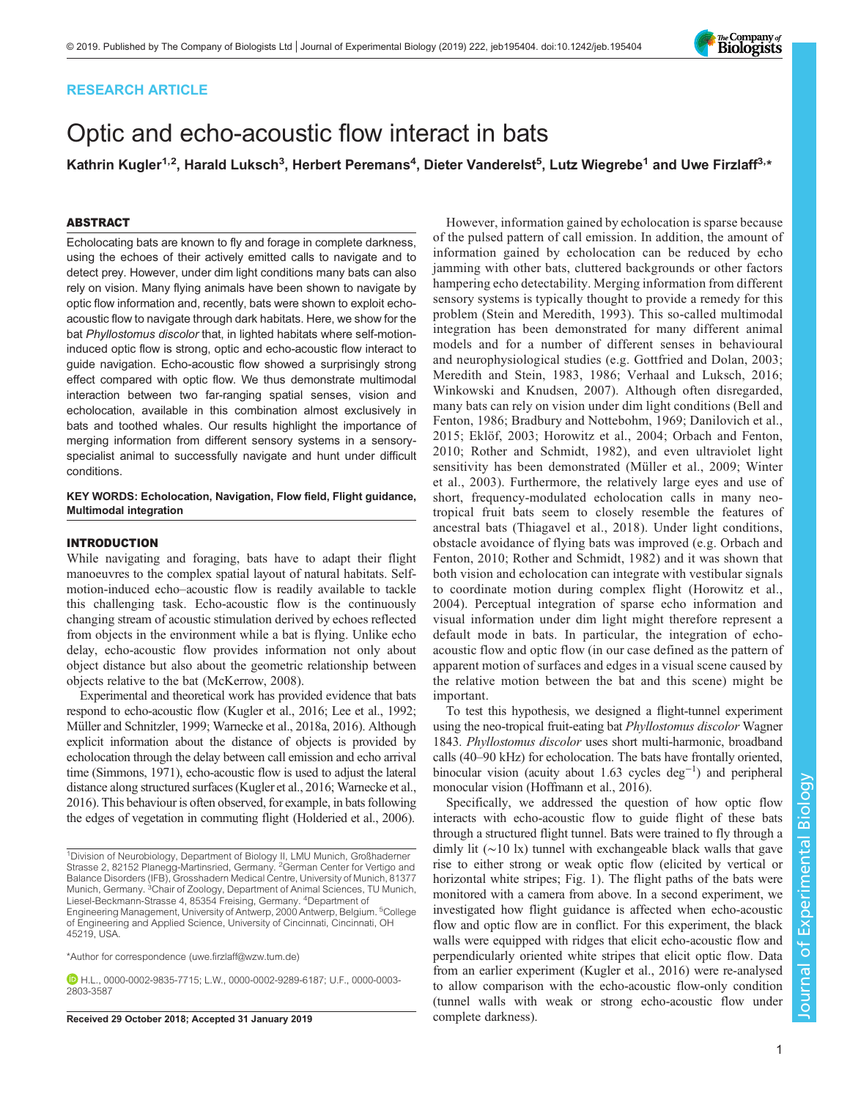## RESEARCH ARTICLE

# Optic and echo-acoustic flow interact in bats

Kathrin Kugler<sup>1,2</sup>, Harald Luksch<sup>3</sup>, Herbert Peremans<sup>4</sup>, Dieter Vanderelst<sup>5</sup>, Lutz Wiegrebe<sup>1</sup> and Uwe Firzlaff<sup>3,</sup>\*

## ABSTRACT

Echolocating bats are known to fly and forage in complete darkness, using the echoes of their actively emitted calls to navigate and to detect prey. However, under dim light conditions many bats can also rely on vision. Many flying animals have been shown to navigate by optic flow information and, recently, bats were shown to exploit echoacoustic flow to navigate through dark habitats. Here, we show for the bat Phyllostomus discolor that, in lighted habitats where self-motioninduced optic flow is strong, optic and echo-acoustic flow interact to guide navigation. Echo-acoustic flow showed a surprisingly strong effect compared with optic flow. We thus demonstrate multimodal interaction between two far-ranging spatial senses, vision and echolocation, available in this combination almost exclusively in bats and toothed whales. Our results highlight the importance of merging information from different sensory systems in a sensoryspecialist animal to successfully navigate and hunt under difficult conditions.

## KEY WORDS: Echolocation, Navigation, Flow field, Flight guidance, Multimodal integration

## INTRODUCTION

While navigating and foraging, bats have to adapt their flight manoeuvres to the complex spatial layout of natural habitats. Selfmotion-induced echo–acoustic flow is readily available to tackle this challenging task. Echo-acoustic flow is the continuously changing stream of acoustic stimulation derived by echoes reflected from objects in the environment while a bat is flying. Unlike echo delay, echo-acoustic flow provides information not only about object distance but also about the geometric relationship between objects relative to the bat [\(McKerrow, 2008\)](#page-6-0).

Experimental and theoretical work has provided evidence that bats respond to echo-acoustic flow [\(Kugler et al., 2016; Lee et al., 1992](#page-6-0); [Müller and Schnitzler, 1999; Warnecke et al., 2018a, 2016](#page-6-0)). Although explicit information about the distance of objects is provided by echolocation through the delay between call emission and echo arrival time [\(Simmons, 1971\)](#page-6-0), echo-acoustic flow is used to adjust the lateral distance along structured surfaces [\(Kugler et al., 2016](#page-6-0); [Warnecke et al.,](#page-6-0) [2016](#page-6-0)). This behaviour is often observed, for example, in bats following the edges of vegetation in commuting flight [\(Holderied et al., 2006\)](#page-6-0).

Engineering Management, University of Antwerp, 2000 Antwerp, Belgium. <sup>5</sup>College of Engineering and Applied Science, University of Cincinnati, Cincinnati, OH 45219, USA.

\*Author for correspondence [\(uwe.firzlaff@wzw.tum.de\)](mailto:uwe.firzlaff@wzw.tum.de)

H.L., [0000-0002-9835-7715;](http://orcid.org/0000-0002-9835-7715) L.W., [0000-0002-9289-6187](http://orcid.org/0000-0002-9289-6187); U.F., [0000-0003-](http://orcid.org/0000-0003-2803-3587) [2803-3587](http://orcid.org/0000-0003-2803-3587)

Received 29 October 2018; Accepted 31 January 2019 complete darkness).

However, information gained by echolocation is sparse because of the pulsed pattern of call emission. In addition, the amount of information gained by echolocation can be reduced by echo jamming with other bats, cluttered backgrounds or other factors hampering echo detectability. Merging information from different sensory systems is typically thought to provide a remedy for this problem ([Stein and Meredith, 1993\)](#page-6-0). This so-called multimodal integration has been demonstrated for many different animal models and for a number of different senses in behavioural and neurophysiological studies (e.g. [Gottfried and Dolan, 2003](#page-6-0); [Meredith and Stein, 1983, 1986; Verhaal and Luksch, 2016](#page-6-0); [Winkowski and Knudsen, 2007](#page-6-0)). Although often disregarded, many bats can rely on vision under dim light conditions ([Bell and](#page-6-0) [Fenton, 1986](#page-6-0); [Bradbury and Nottebohm, 1969](#page-6-0); [Danilovich et al.,](#page-6-0) [2015; Eklöf, 2003; Horowitz et al., 2004](#page-6-0); [Orbach and Fenton,](#page-6-0) [2010; Rother and Schmidt, 1982\)](#page-6-0), and even ultraviolet light sensitivity has been demonstrated ([Müller et al., 2009; Winter](#page-6-0) [et al., 2003](#page-6-0)). Furthermore, the relatively large eyes and use of short, frequency-modulated echolocation calls in many neotropical fruit bats seem to closely resemble the features of ancestral bats ([Thiagavel et al., 2018](#page-6-0)). Under light conditions, obstacle avoidance of flying bats was improved (e.g. [Orbach and](#page-6-0) [Fenton, 2010; Rother and Schmidt, 1982\)](#page-6-0) and it was shown that both vision and echolocation can integrate with vestibular signals to coordinate motion during complex flight ([Horowitz et al.,](#page-6-0) [2004\)](#page-6-0). Perceptual integration of sparse echo information and visual information under dim light might therefore represent a default mode in bats. In particular, the integration of echoacoustic flow and optic flow (in our case defined as the pattern of apparent motion of surfaces and edges in a visual scene caused by the relative motion between the bat and this scene) might be important.

To test this hypothesis, we designed a flight-tunnel experiment using the neo-tropical fruit-eating bat Phyllostomus discolor Wagner 1843. Phyllostomus discolor uses short multi-harmonic, broadband calls (40–90 kHz) for echolocation. The bats have frontally oriented, binocular vision (acuity about 1.63 cycles deg−<sup>1</sup> ) and peripheral monocular vision [\(Hoffmann et al., 2016\)](#page-6-0).

Specifically, we addressed the question of how optic flow interacts with echo-acoustic flow to guide flight of these bats through a structured flight tunnel. Bats were trained to fly through a dimly lit (∼10 lx) tunnel with exchangeable black walls that gave rise to either strong or weak optic flow (elicited by vertical or horizontal white stripes; [Fig. 1](#page-1-0)). The flight paths of the bats were monitored with a camera from above. In a second experiment, we investigated how flight guidance is affected when echo-acoustic flow and optic flow are in conflict. For this experiment, the black walls were equipped with ridges that elicit echo-acoustic flow and perpendicularly oriented white stripes that elicit optic flow. Data from an earlier experiment [\(Kugler et al., 2016\)](#page-6-0) were re-analysed to allow comparison with the echo-acoustic flow-only condition (tunnel walls with weak or strong echo-acoustic flow under

Experimental Biology



<sup>&</sup>lt;sup>1</sup>Division of Neurobiology, Department of Biology II, LMU Munich, Großhaderner Strasse 2, 82152 Planegg-Martinsried, Germany. 2German Center for Vertigo and Balance Disorders (IFB), Grosshadern Medical Centre, University of Munich, 81377 Munich, Germany. <sup>3</sup>Chair of Zoology, Department of Animal Sciences, TU Munich, Liesel-Beckmann-Strasse 4, 85354 Freising, Germany. <sup>4</sup> Department of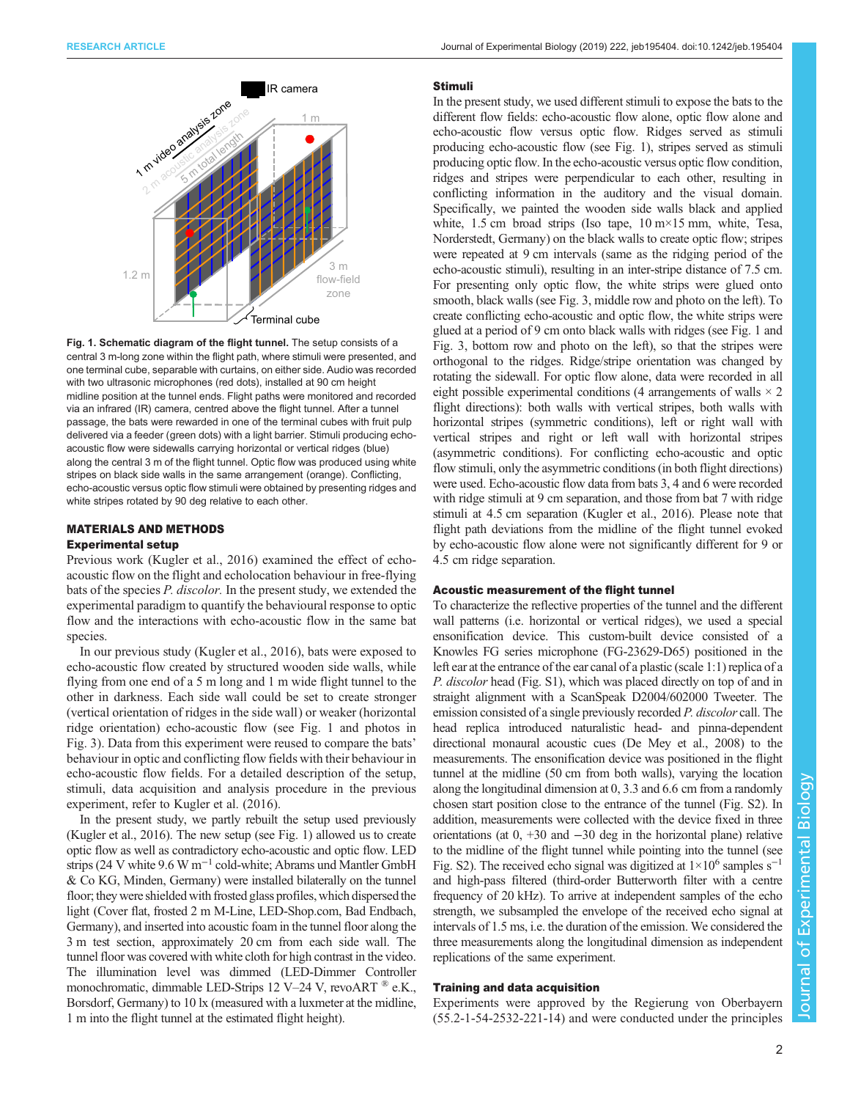<span id="page-1-0"></span>



Fig. 1. Schematic diagram of the flight tunnel. The setup consists of a central 3 m-long zone within the flight path, where stimuli were presented, and one terminal cube, separable with curtains, on either side. Audio was recorded with two ultrasonic microphones (red dots), installed at 90 cm height midline position at the tunnel ends. Flight paths were monitored and recorded via an infrared (IR) camera, centred above the flight tunnel. After a tunnel passage, the bats were rewarded in one of the terminal cubes with fruit pulp delivered via a feeder (green dots) with a light barrier. Stimuli producing echoacoustic flow were sidewalls carrying horizontal or vertical ridges (blue) along the central 3 m of the flight tunnel. Optic flow was produced using white stripes on black side walls in the same arrangement (orange). Conflicting, echo-acoustic versus optic flow stimuli were obtained by presenting ridges and white stripes rotated by 90 deg relative to each other.

## MATERIALS AND METHODS

## Experimental setup

Previous work ([Kugler et al., 2016\)](#page-6-0) examined the effect of echoacoustic flow on the flight and echolocation behaviour in free-flying bats of the species P. discolor. In the present study, we extended the experimental paradigm to quantify the behavioural response to optic flow and the interactions with echo-acoustic flow in the same bat species.

In our previous study [\(Kugler et al., 2016\)](#page-6-0), bats were exposed to echo-acoustic flow created by structured wooden side walls, while flying from one end of a 5 m long and 1 m wide flight tunnel to the other in darkness. Each side wall could be set to create stronger (vertical orientation of ridges in the side wall) or weaker (horizontal ridge orientation) echo-acoustic flow (see Fig. 1 and photos in [Fig. 3\)](#page-3-0). Data from this experiment were reused to compare the bats' behaviour in optic and conflicting flow fields with their behaviour in echo-acoustic flow fields. For a detailed description of the setup, stimuli, data acquisition and analysis procedure in the previous experiment, refer to [Kugler et al. \(2016\)](#page-6-0).

In the present study, we partly rebuilt the setup used previously [\(Kugler et al., 2016](#page-6-0)). The new setup (see Fig. 1) allowed us to create optic flow as well as contradictory echo-acoustic and optic flow. LED strips (24 V white 9.6 W m<sup>-1</sup> cold-white; Abrams und Mantler GmbH & Co KG, Minden, Germany) were installed bilaterally on the tunnel floor; they were shielded with frosted glass profiles, which dispersed the light (Cover flat, frosted 2 m M-Line, LED-Shop.com, Bad Endbach, Germany), and inserted into acoustic foam in the tunnel floor along the 3 m test section, approximately 20 cm from each side wall. The tunnel floor was covered with white cloth for high contrast in the video. The illumination level was dimmed (LED-Dimmer Controller monochromatic, dimmable LED-Strips 12 V-24 V, revoART ® e.K., Borsdorf, Germany) to 10 lx (measured with a luxmeter at the midline, 1 m into the flight tunnel at the estimated flight height).

#### Stimuli

In the present study, we used different stimuli to expose the bats to the different flow fields: echo-acoustic flow alone, optic flow alone and echo-acoustic flow versus optic flow. Ridges served as stimuli producing echo-acoustic flow (see Fig. 1), stripes served as stimuli producing optic flow. In the echo-acoustic versus optic flow condition, ridges and stripes were perpendicular to each other, resulting in conflicting information in the auditory and the visual domain. Specifically, we painted the wooden side walls black and applied white, 1.5 cm broad strips (Iso tape,  $10 \text{ m} \times 15 \text{ mm}$ , white, Tesa, Norderstedt, Germany) on the black walls to create optic flow; stripes were repeated at 9 cm intervals (same as the ridging period of the echo-acoustic stimuli), resulting in an inter-stripe distance of 7.5 cm. For presenting only optic flow, the white strips were glued onto smooth, black walls (see [Fig. 3,](#page-3-0) middle row and photo on the left). To create conflicting echo-acoustic and optic flow, the white strips were glued at a period of 9 cm onto black walls with ridges (see Fig. 1 and [Fig. 3,](#page-3-0) bottom row and photo on the left), so that the stripes were orthogonal to the ridges. Ridge/stripe orientation was changed by rotating the sidewall. For optic flow alone, data were recorded in all eight possible experimental conditions (4 arrangements of walls  $\times$  2 flight directions): both walls with vertical stripes, both walls with horizontal stripes (symmetric conditions), left or right wall with vertical stripes and right or left wall with horizontal stripes (asymmetric conditions). For conflicting echo-acoustic and optic flow stimuli, only the asymmetric conditions (in both flight directions) were used. Echo-acoustic flow data from bats 3, 4 and 6 were recorded with ridge stimuli at 9 cm separation, and those from bat 7 with ridge stimuli at 4.5 cm separation [\(Kugler et al., 2016](#page-6-0)). Please note that flight path deviations from the midline of the flight tunnel evoked by echo-acoustic flow alone were not significantly different for 9 or 4.5 cm ridge separation.

#### Acoustic measurement of the flight tunnel

To characterize the reflective properties of the tunnel and the different wall patterns (i.e. horizontal or vertical ridges), we used a special ensonification device. This custom-built device consisted of a Knowles FG series microphone (FG-23629-D65) positioned in the left ear at the entrance of the ear canal of a plastic (scale 1:1) replica of a P. discolor head [\(Fig. S1](http://jeb.biologists.org/lookup/doi/10.1242/jeb.195404.supplemental)), which was placed directly on top of and in straight alignment with a ScanSpeak D2004/602000 Tweeter. The emission consisted of a single previously recorded P. discolor call. The head replica introduced naturalistic head- and pinna-dependent directional monaural acoustic cues [\(De Mey et al., 2008](#page-6-0)) to the measurements. The ensonification device was positioned in the flight tunnel at the midline (50 cm from both walls), varying the location along the longitudinal dimension at 0, 3.3 and 6.6 cm from a randomly chosen start position close to the entrance of the tunnel [\(Fig. S2](http://jeb.biologists.org/lookup/doi/10.1242/jeb.195404.supplemental)). In addition, measurements were collected with the device fixed in three orientations (at 0, +30 and −30 deg in the horizontal plane) relative to the midline of the flight tunnel while pointing into the tunnel (see [Fig. S2](http://jeb.biologists.org/lookup/doi/10.1242/jeb.195404.supplemental)). The received echo signal was digitized at  $1\times10^6$  samples s<sup>-1</sup> and high-pass filtered (third-order Butterworth filter with a centre frequency of 20 kHz). To arrive at independent samples of the echo strength, we subsampled the envelope of the received echo signal at intervals of 1.5 ms, i.e. the duration of the emission. We considered the three measurements along the longitudinal dimension as independent replications of the same experiment.

## Training and data acquisition

Experiments were approved by the Regierung von Oberbayern (55.2-1-54-2532-221-14) and were conducted under the principles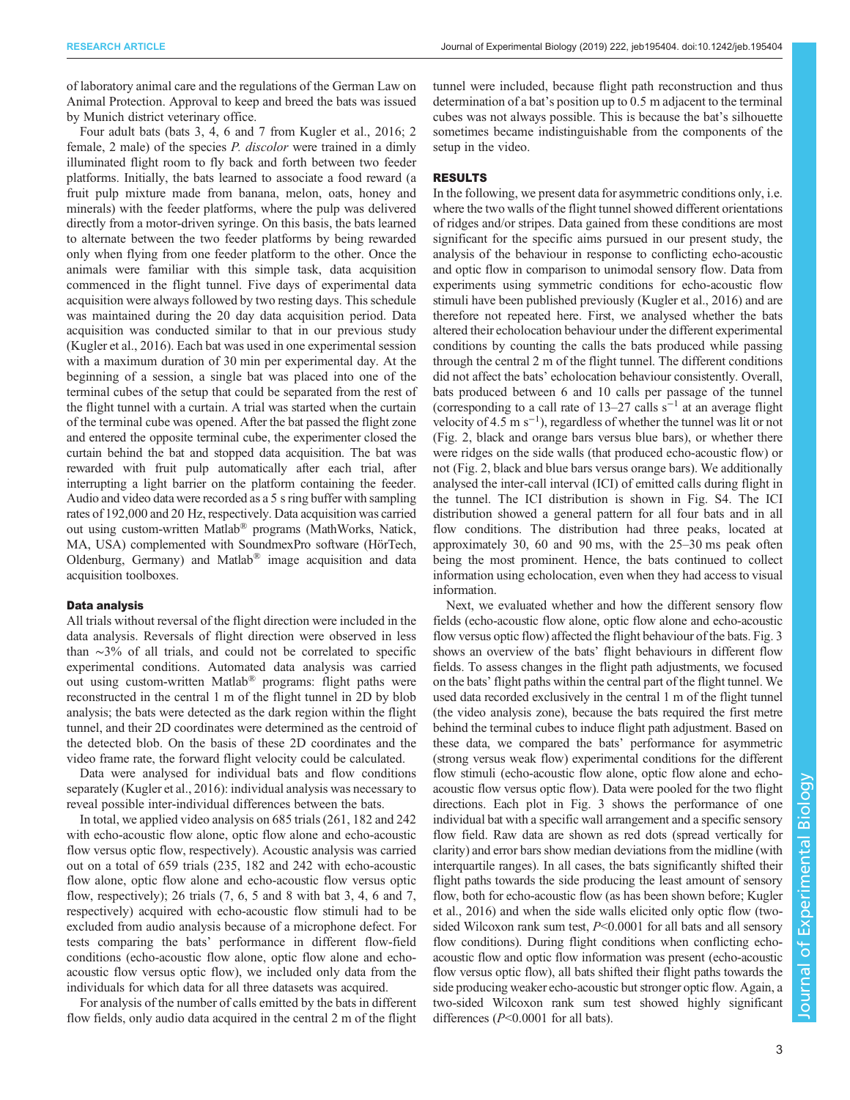of laboratory animal care and the regulations of the German Law on Animal Protection. Approval to keep and breed the bats was issued by Munich district veterinary office.

Four adult bats (bats 3, 4, 6 and 7 from [Kugler et al., 2016](#page-6-0); 2 female, 2 male) of the species *P. discolor* were trained in a dimly illuminated flight room to fly back and forth between two feeder platforms. Initially, the bats learned to associate a food reward (a fruit pulp mixture made from banana, melon, oats, honey and minerals) with the feeder platforms, where the pulp was delivered directly from a motor-driven syringe. On this basis, the bats learned to alternate between the two feeder platforms by being rewarded only when flying from one feeder platform to the other. Once the animals were familiar with this simple task, data acquisition commenced in the flight tunnel. Five days of experimental data acquisition were always followed by two resting days. This schedule was maintained during the 20 day data acquisition period. Data acquisition was conducted similar to that in our previous study [\(Kugler et al., 2016](#page-6-0)). Each bat was used in one experimental session with a maximum duration of 30 min per experimental day. At the beginning of a session, a single bat was placed into one of the terminal cubes of the setup that could be separated from the rest of the flight tunnel with a curtain. A trial was started when the curtain of the terminal cube was opened. After the bat passed the flight zone and entered the opposite terminal cube, the experimenter closed the curtain behind the bat and stopped data acquisition. The bat was rewarded with fruit pulp automatically after each trial, after interrupting a light barrier on the platform containing the feeder. Audio and video data were recorded as a 5 s ring buffer with sampling rates of 192,000 and 20 Hz, respectively. Data acquisition was carried out using custom-written Matlab® programs (MathWorks, Natick, MA, USA) complemented with SoundmexPro software (HörTech, Oldenburg, Germany) and Matlab® image acquisition and data acquisition toolboxes.

## Data analysis

All trials without reversal of the flight direction were included in the data analysis. Reversals of flight direction were observed in less than ∼3% of all trials, and could not be correlated to specific experimental conditions. Automated data analysis was carried out using custom-written Matlab® programs: flight paths were reconstructed in the central 1 m of the flight tunnel in 2D by blob analysis; the bats were detected as the dark region within the flight tunnel, and their 2D coordinates were determined as the centroid of the detected blob. On the basis of these 2D coordinates and the video frame rate, the forward flight velocity could be calculated.

Data were analysed for individual bats and flow conditions separately [\(Kugler et al., 2016\)](#page-6-0): individual analysis was necessary to reveal possible inter-individual differences between the bats.

In total, we applied video analysis on 685 trials (261, 182 and 242 with echo-acoustic flow alone, optic flow alone and echo-acoustic flow versus optic flow, respectively). Acoustic analysis was carried out on a total of 659 trials (235, 182 and 242 with echo-acoustic flow alone, optic flow alone and echo-acoustic flow versus optic flow, respectively); 26 trials  $(7, 6, 5, 5, 8)$  and 8 with bat 3, 4, 6 and 7, respectively) acquired with echo-acoustic flow stimuli had to be excluded from audio analysis because of a microphone defect. For tests comparing the bats' performance in different flow-field conditions (echo-acoustic flow alone, optic flow alone and echoacoustic flow versus optic flow), we included only data from the individuals for which data for all three datasets was acquired.

For analysis of the number of calls emitted by the bats in different flow fields, only audio data acquired in the central 2 m of the flight tunnel were included, because flight path reconstruction and thus determination of a bat's position up to 0.5 m adjacent to the terminal cubes was not always possible. This is because the bat's silhouette sometimes became indistinguishable from the components of the setup in the video.

### RESULTS

In the following, we present data for asymmetric conditions only, i.e. where the two walls of the flight tunnel showed different orientations of ridges and/or stripes. Data gained from these conditions are most significant for the specific aims pursued in our present study, the analysis of the behaviour in response to conflicting echo-acoustic and optic flow in comparison to unimodal sensory flow. Data from experiments using symmetric conditions for echo-acoustic flow stimuli have been published previously [\(Kugler et al., 2016\)](#page-6-0) and are therefore not repeated here. First, we analysed whether the bats altered their echolocation behaviour under the different experimental conditions by counting the calls the bats produced while passing through the central 2 m of the flight tunnel. The different conditions did not affect the bats' echolocation behaviour consistently. Overall, bats produced between 6 and 10 calls per passage of the tunnel (corresponding to a call rate of  $13-27$  calls s<sup>-1</sup> at an average flight velocity of  $4.5 \text{ m s}^{-1}$ ), regardless of whether the tunnel was lit or not [\(Fig. 2,](#page-3-0) black and orange bars versus blue bars), or whether there were ridges on the side walls (that produced echo-acoustic flow) or not ([Fig. 2](#page-3-0), black and blue bars versus orange bars). We additionally analysed the inter-call interval (ICI) of emitted calls during flight in the tunnel. The ICI distribution is shown in [Fig. S4](http://jeb.biologists.org/lookup/doi/10.1242/jeb.195404.supplemental). The ICI distribution showed a general pattern for all four bats and in all flow conditions. The distribution had three peaks, located at approximately 30, 60 and 90 ms, with the 25–30 ms peak often being the most prominent. Hence, the bats continued to collect information using echolocation, even when they had access to visual information.

Next, we evaluated whether and how the different sensory flow fields (echo-acoustic flow alone, optic flow alone and echo-acoustic flow versus optic flow) affected the flight behaviour of the bats. [Fig. 3](#page-3-0) shows an overview of the bats' flight behaviours in different flow fields. To assess changes in the flight path adjustments, we focused on the bats' flight paths within the central part of the flight tunnel. We used data recorded exclusively in the central 1 m of the flight tunnel (the video analysis zone), because the bats required the first metre behind the terminal cubes to induce flight path adjustment. Based on these data, we compared the bats' performance for asymmetric (strong versus weak flow) experimental conditions for the different flow stimuli (echo-acoustic flow alone, optic flow alone and echoacoustic flow versus optic flow). Data were pooled for the two flight directions. Each plot in [Fig. 3](#page-3-0) shows the performance of one individual bat with a specific wall arrangement and a specific sensory flow field. Raw data are shown as red dots (spread vertically for clarity) and error bars show median deviations from the midline (with interquartile ranges). In all cases, the bats significantly shifted their flight paths towards the side producing the least amount of sensory flow, both for echo-acoustic flow (as has been shown before; [Kugler](#page-6-0) [et al., 2016](#page-6-0)) and when the side walls elicited only optic flow (twosided Wilcoxon rank sum test,  $P<0.0001$  for all bats and all sensory flow conditions). During flight conditions when conflicting echoacoustic flow and optic flow information was present (echo-acoustic flow versus optic flow), all bats shifted their flight paths towards the side producing weaker echo-acoustic but stronger optic flow. Again, a two-sided Wilcoxon rank sum test showed highly significant differences (P<0.0001 for all bats).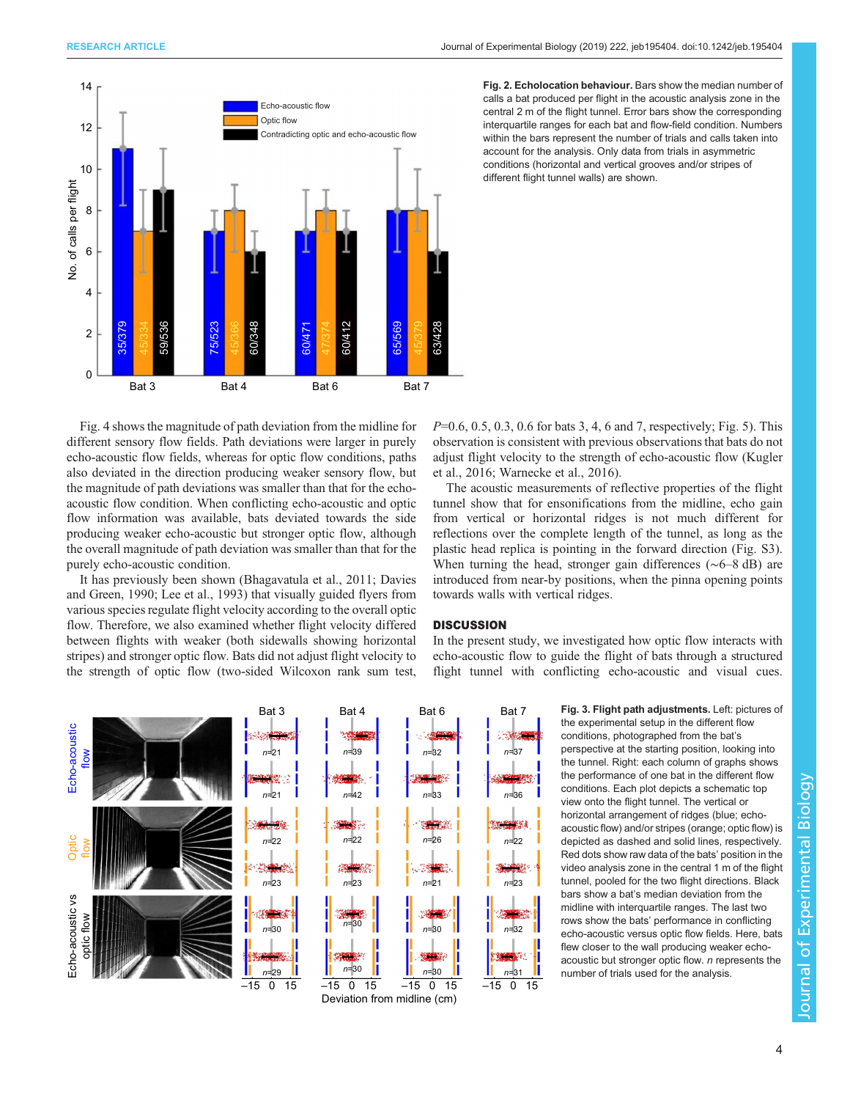<span id="page-3-0"></span>

[Fig. 4](#page-4-0) shows the magnitude of path deviation from the midline for different sensory flow fields. Path deviations were larger in purely echo-acoustic flow fields, whereas for optic flow conditions, paths also deviated in the direction producing weaker sensory flow, but the magnitude of path deviations was smaller than that for the echoacoustic flow condition. When conflicting echo-acoustic and optic flow information was available, bats deviated towards the side producing weaker echo-acoustic but stronger optic flow, although the overall magnitude of path deviation was smaller than that for the purely echo-acoustic condition.

It has previously been shown ([Bhagavatula et al., 2011](#page-6-0); [Davies](#page-6-0) [and Green, 1990](#page-6-0); [Lee et al., 1993](#page-6-0)) that visually guided flyers from various species regulate flight velocity according to the overall optic flow. Therefore, we also examined whether flight velocity differed between flights with weaker (both sidewalls showing horizontal stripes) and stronger optic flow. Bats did not adjust flight velocity to the strength of optic flow (two-sided Wilcoxon rank sum test, Fig. 2. Echolocation behaviour. Bars show the median number of calls a bat produced per flight in the acoustic analysis zone in the central 2 m of the flight tunnel. Error bars show the corresponding interquartile ranges for each bat and flow-field condition. Numbers within the bars represent the number of trials and calls taken into account for the analysis. Only data from trials in asymmetric conditions (horizontal and vertical grooves and/or stripes of different flight tunnel walls) are shown.

P=0.6, 0.5, 0.3, 0.6 for bats 3, 4, 6 and 7, respectively; [Fig. 5\)](#page-4-0). This observation is consistent with previous observations that bats do not adjust flight velocity to the strength of echo-acoustic flow ([Kugler](#page-6-0) [et al., 2016; Warnecke et al., 2016\)](#page-6-0).

The acoustic measurements of reflective properties of the flight tunnel show that for ensonifications from the midline, echo gain from vertical or horizontal ridges is not much different for reflections over the complete length of the tunnel, as long as the plastic head replica is pointing in the forward direction [\(Fig. S3\)](http://jeb.biologists.org/lookup/doi/10.1242/jeb.195404.supplemental). When turning the head, stronger gain differences (∼6–8 dB) are introduced from near-by positions, when the pinna opening points towards walls with vertical ridges.

## **DISCUSSION**

In the present study, we investigated how optic flow interacts with echo-acoustic flow to guide the flight of bats through a structured flight tunnel with conflicting echo-acoustic and visual cues.



the experimental setup in the different flow conditions, photographed from the bat's perspective at the starting position, looking into the tunnel. Right: each column of graphs shows the performance of one bat in the different flow conditions. Each plot depicts a schematic top view onto the flight tunnel. The vertical or horizontal arrangement of ridges (blue: echoacoustic flow) and/or stripes (orange; optic flow) is depicted as dashed and solid lines, respectively. Red dots show raw data of the bats' position in the video analysis zone in the central 1 m of the flight tunnel, pooled for the two flight directions. Black bars show a bat's median deviation from the midline with interquartile ranges. The last two rows show the bats' performance in conflicting echo-acoustic versus optic flow fields. Here, bats flew closer to the wall producing weaker echoacoustic but stronger optic flow. n represents the number of trials used for the analysis.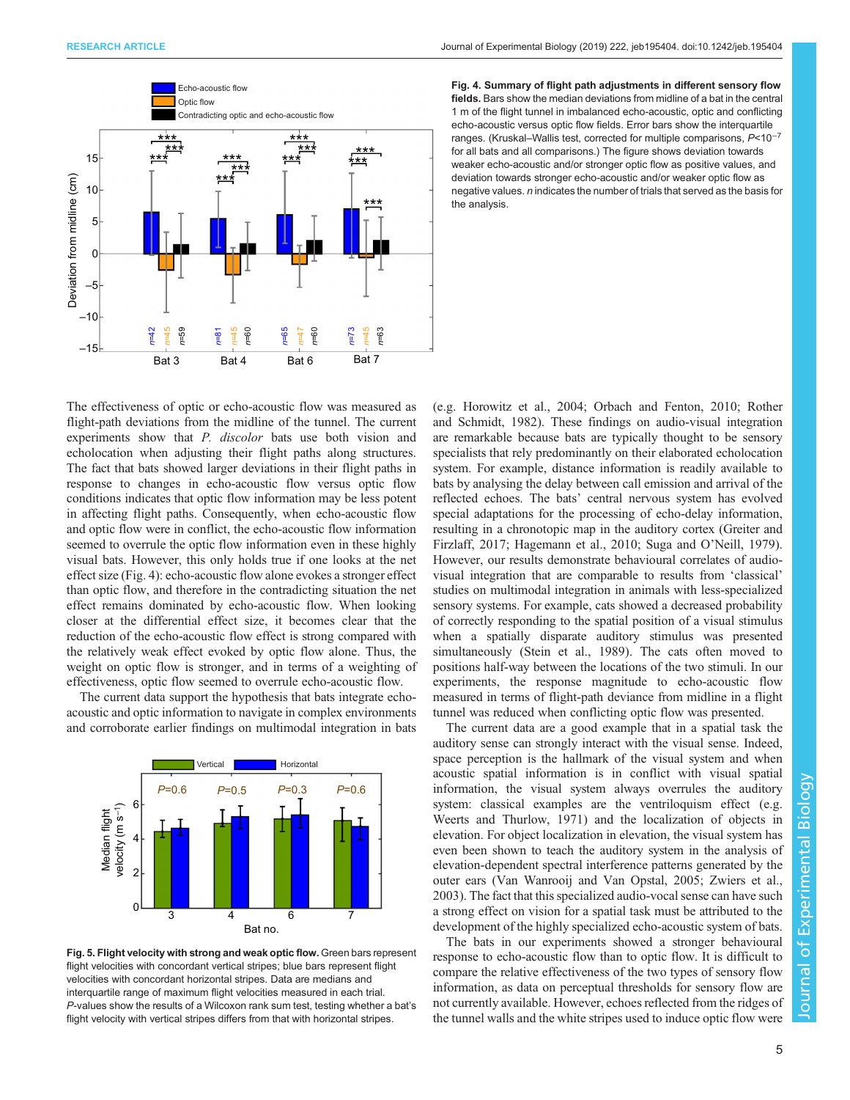<span id="page-4-0"></span>

Fig. 4. Summary of flight path adjustments in different sensory flow fields. Bars show the median deviations from midline of a bat in the central 1 m of the flight tunnel in imbalanced echo-acoustic, optic and conflicting echo-acoustic versus optic flow fields. Error bars show the interquartile ranges. (Kruskal–Wallis test, corrected for multiple comparisons, P<10−<sup>7</sup> for all bats and all comparisons.) The figure shows deviation towards weaker echo-acoustic and/or stronger optic flow as positive values, and deviation towards stronger echo-acoustic and/or weaker optic flow as negative values. n indicates the number of trials that served as the basis for the analysis.

The effectiveness of optic or echo-acoustic flow was measured as flight-path deviations from the midline of the tunnel. The current experiments show that P. discolor bats use both vision and echolocation when adjusting their flight paths along structures. The fact that bats showed larger deviations in their flight paths in response to changes in echo-acoustic flow versus optic flow conditions indicates that optic flow information may be less potent in affecting flight paths. Consequently, when echo-acoustic flow and optic flow were in conflict, the echo-acoustic flow information seemed to overrule the optic flow information even in these highly visual bats. However, this only holds true if one looks at the net effect size (Fig. 4): echo-acoustic flow alone evokes a stronger effect than optic flow, and therefore in the contradicting situation the net effect remains dominated by echo-acoustic flow. When looking closer at the differential effect size, it becomes clear that the reduction of the echo-acoustic flow effect is strong compared with the relatively weak effect evoked by optic flow alone. Thus, the weight on optic flow is stronger, and in terms of a weighting of effectiveness, optic flow seemed to overrule echo-acoustic flow.

The current data support the hypothesis that bats integrate echoacoustic and optic information to navigate in complex environments and corroborate earlier findings on multimodal integration in bats



Fig. 5. Flight velocity with strong and weak optic flow. Green bars represent flight velocities with concordant vertical stripes; blue bars represent flight velocities with concordant horizontal stripes. Data are medians and interquartile range of maximum flight velocities measured in each trial. P-values show the results of a Wilcoxon rank sum test, testing whether a bat's flight velocity with vertical stripes differs from that with horizontal stripes.

(e.g. [Horowitz et al., 2004](#page-6-0); [Orbach and Fenton, 2010](#page-6-0); [Rother](#page-6-0) [and Schmidt, 1982](#page-6-0)). These findings on audio-visual integration are remarkable because bats are typically thought to be sensory specialists that rely predominantly on their elaborated echolocation system. For example, distance information is readily available to bats by analysing the delay between call emission and arrival of the reflected echoes. The bats' central nervous system has evolved special adaptations for the processing of echo-delay information, resulting in a chronotopic map in the auditory cortex [\(Greiter and](#page-6-0) [Firzlaff, 2017; Hagemann et al., 2010](#page-6-0); [Suga and O](#page-6-0)'Neill, 1979). However, our results demonstrate behavioural correlates of audiovisual integration that are comparable to results from 'classical' studies on multimodal integration in animals with less-specialized sensory systems. For example, cats showed a decreased probability of correctly responding to the spatial position of a visual stimulus when a spatially disparate auditory stimulus was presented simultaneously ([Stein et al., 1989](#page-6-0)). The cats often moved to positions half-way between the locations of the two stimuli. In our experiments, the response magnitude to echo-acoustic flow measured in terms of flight-path deviance from midline in a flight tunnel was reduced when conflicting optic flow was presented.

The current data are a good example that in a spatial task the auditory sense can strongly interact with the visual sense. Indeed, space perception is the hallmark of the visual system and when acoustic spatial information is in conflict with visual spatial information, the visual system always overrules the auditory system: classical examples are the ventriloquism effect (e.g. [Weerts and Thurlow, 1971](#page-6-0)) and the localization of objects in elevation. For object localization in elevation, the visual system has even been shown to teach the auditory system in the analysis of elevation-dependent spectral interference patterns generated by the outer ears ([Van Wanrooij and Van Opstal, 2005](#page-6-0); [Zwiers et al.,](#page-6-0) [2003\)](#page-6-0). The fact that this specialized audio-vocal sense can have such a strong effect on vision for a spatial task must be attributed to the development of the highly specialized echo-acoustic system of bats.

The bats in our experiments showed a stronger behavioural response to echo-acoustic flow than to optic flow. It is difficult to compare the relative effectiveness of the two types of sensory flow information, as data on perceptual thresholds for sensory flow are not currently available. However, echoes reflected from the ridges of the tunnel walls and the white stripes used to induce optic flow were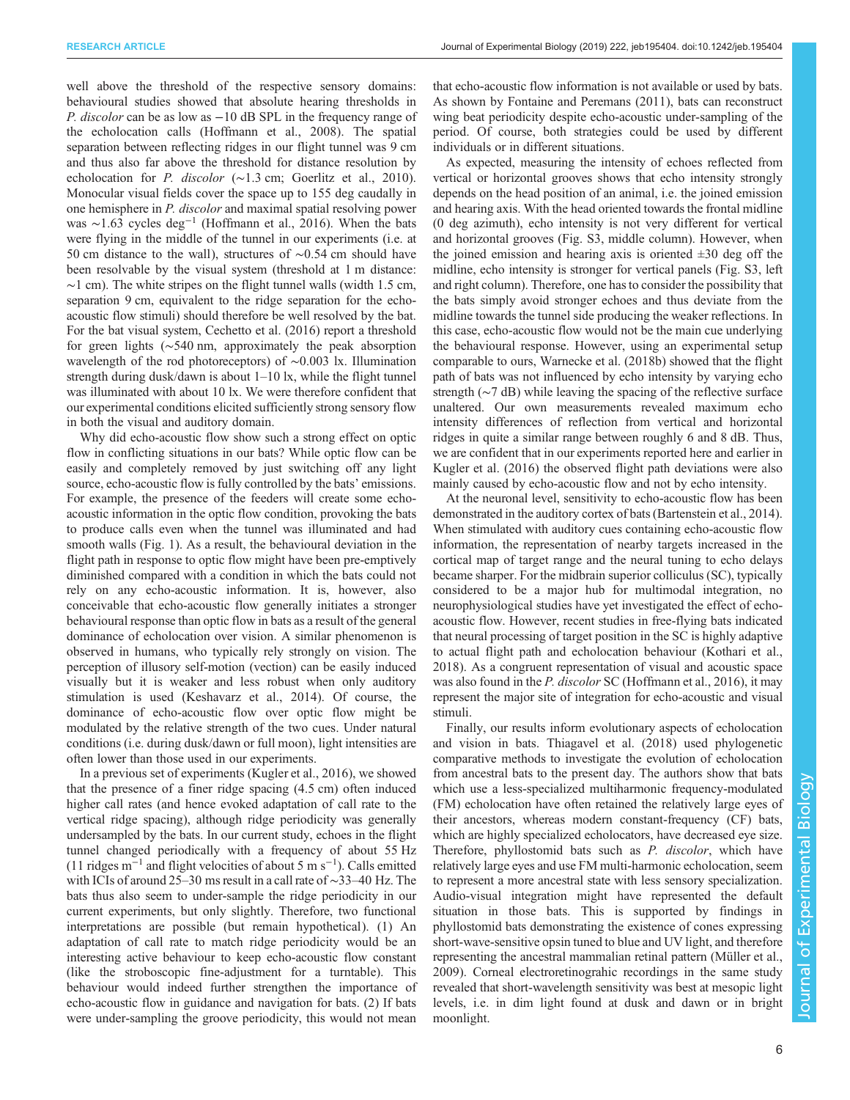well above the threshold of the respective sensory domains: behavioural studies showed that absolute hearing thresholds in P. discolor can be as low as −10 dB SPL in the frequency range of the echolocation calls [\(Hoffmann et al., 2008\)](#page-6-0). The spatial separation between reflecting ridges in our flight tunnel was 9 cm and thus also far above the threshold for distance resolution by echolocation for P. discolor (∼1.3 cm; [Goerlitz et al., 2010\)](#page-6-0). Monocular visual fields cover the space up to 155 deg caudally in one hemisphere in P. discolor and maximal spatial resolving power was ~1.63 cycles deg<sup>-1</sup> [\(Hoffmann et al., 2016\)](#page-6-0). When the bats were flying in the middle of the tunnel in our experiments (i.e. at 50 cm distance to the wall), structures of ∼0.54 cm should have been resolvable by the visual system (threshold at 1 m distance:  $\sim$ 1 cm). The white stripes on the flight tunnel walls (width 1.5 cm, separation 9 cm, equivalent to the ridge separation for the echoacoustic flow stimuli) should therefore be well resolved by the bat. For the bat visual system, [Cechetto et al. \(2016\)](#page-6-0) report a threshold for green lights (∼540 nm, approximately the peak absorption wavelength of the rod photoreceptors) of ∼0.003 lx. Illumination strength during dusk/dawn is about 1–10 lx, while the flight tunnel was illuminated with about 10 lx. We were therefore confident that our experimental conditions elicited sufficiently strong sensory flow in both the visual and auditory domain.

Why did echo-acoustic flow show such a strong effect on optic flow in conflicting situations in our bats? While optic flow can be easily and completely removed by just switching off any light source, echo-acoustic flow is fully controlled by the bats' emissions. For example, the presence of the feeders will create some echoacoustic information in the optic flow condition, provoking the bats to produce calls even when the tunnel was illuminated and had smooth walls ([Fig. 1](#page-1-0)). As a result, the behavioural deviation in the flight path in response to optic flow might have been pre-emptively diminished compared with a condition in which the bats could not rely on any echo-acoustic information. It is, however, also conceivable that echo-acoustic flow generally initiates a stronger behavioural response than optic flow in bats as a result of the general dominance of echolocation over vision. A similar phenomenon is observed in humans, who typically rely strongly on vision. The perception of illusory self-motion (vection) can be easily induced visually but it is weaker and less robust when only auditory stimulation is used [\(Keshavarz et al., 2014\)](#page-6-0). Of course, the dominance of echo-acoustic flow over optic flow might be modulated by the relative strength of the two cues. Under natural conditions (i.e. during dusk/dawn or full moon), light intensities are often lower than those used in our experiments.

In a previous set of experiments [\(Kugler et al., 2016\)](#page-6-0), we showed that the presence of a finer ridge spacing (4.5 cm) often induced higher call rates (and hence evoked adaptation of call rate to the vertical ridge spacing), although ridge periodicity was generally undersampled by the bats. In our current study, echoes in the flight tunnel changed periodically with a frequency of about 55 Hz (11 ridges m−<sup>1</sup> and flight velocities of about 5 m s−<sup>1</sup> ). Calls emitted with ICIs of around 25–30 ms result in a call rate of ∼33–40 Hz. The bats thus also seem to under-sample the ridge periodicity in our current experiments, but only slightly. Therefore, two functional interpretations are possible (but remain hypothetical). (1) An adaptation of call rate to match ridge periodicity would be an interesting active behaviour to keep echo-acoustic flow constant (like the stroboscopic fine-adjustment for a turntable). This behaviour would indeed further strengthen the importance of echo-acoustic flow in guidance and navigation for bats. (2) If bats were under-sampling the groove periodicity, this would not mean

that echo-acoustic flow information is not available or used by bats. As shown by [Fontaine and Peremans \(2011\),](#page-6-0) bats can reconstruct wing beat periodicity despite echo-acoustic under-sampling of the period. Of course, both strategies could be used by different individuals or in different situations.

As expected, measuring the intensity of echoes reflected from vertical or horizontal grooves shows that echo intensity strongly depends on the head position of an animal, i.e. the joined emission and hearing axis. With the head oriented towards the frontal midline (0 deg azimuth), echo intensity is not very different for vertical and horizontal grooves [\(Fig. S3,](http://jeb.biologists.org/lookup/doi/10.1242/jeb.195404.supplemental) middle column). However, when the joined emission and hearing axis is oriented  $\pm 30$  deg off the midline, echo intensity is stronger for vertical panels ([Fig. S3](http://jeb.biologists.org/lookup/doi/10.1242/jeb.195404.supplemental), left and right column). Therefore, one has to consider the possibility that the bats simply avoid stronger echoes and thus deviate from the midline towards the tunnel side producing the weaker reflections. In this case, echo-acoustic flow would not be the main cue underlying the behavioural response. However, using an experimental setup comparable to ours, [Warnecke et al. \(2018b\)](#page-6-0) showed that the flight path of bats was not influenced by echo intensity by varying echo strength (∼7 dB) while leaving the spacing of the reflective surface unaltered. Our own measurements revealed maximum echo intensity differences of reflection from vertical and horizontal ridges in quite a similar range between roughly 6 and 8 dB. Thus, we are confident that in our experiments reported here and earlier in [Kugler et al. \(2016\)](#page-6-0) the observed flight path deviations were also mainly caused by echo-acoustic flow and not by echo intensity.

At the neuronal level, sensitivity to echo-acoustic flow has been demonstrated in the auditory cortex of bats ([Bartenstein et al., 2014\)](#page-6-0). When stimulated with auditory cues containing echo-acoustic flow information, the representation of nearby targets increased in the cortical map of target range and the neural tuning to echo delays became sharper. For the midbrain superior colliculus (SC), typically considered to be a major hub for multimodal integration, no neurophysiological studies have yet investigated the effect of echoacoustic flow. However, recent studies in free-flying bats indicated that neural processing of target position in the SC is highly adaptive to actual flight path and echolocation behaviour ([Kothari et al.,](#page-6-0) [2018\)](#page-6-0). As a congruent representation of visual and acoustic space was also found in the *P. discolor* SC ([Hoffmann et al., 2016](#page-6-0)), it may represent the major site of integration for echo-acoustic and visual stimuli.

Finally, our results inform evolutionary aspects of echolocation and vision in bats. [Thiagavel et al. \(2018\)](#page-6-0) used phylogenetic comparative methods to investigate the evolution of echolocation from ancestral bats to the present day. The authors show that bats which use a less-specialized multiharmonic frequency-modulated (FM) echolocation have often retained the relatively large eyes of their ancestors, whereas modern constant-frequency (CF) bats, which are highly specialized echolocators, have decreased eye size. Therefore, phyllostomid bats such as *P. discolor*, which have relatively large eyes and use FM multi-harmonic echolocation, seem to represent a more ancestral state with less sensory specialization. Audio-visual integration might have represented the default situation in those bats. This is supported by findings in phyllostomid bats demonstrating the existence of cones expressing short-wave-sensitive opsin tuned to blue and UV light, and therefore representing the ancestral mammalian retinal pattern [\(Müller et al.,](#page-6-0) [2009\)](#page-6-0). Corneal electroretinograhic recordings in the same study revealed that short-wavelength sensitivity was best at mesopic light levels, i.e. in dim light found at dusk and dawn or in bright moonlight.